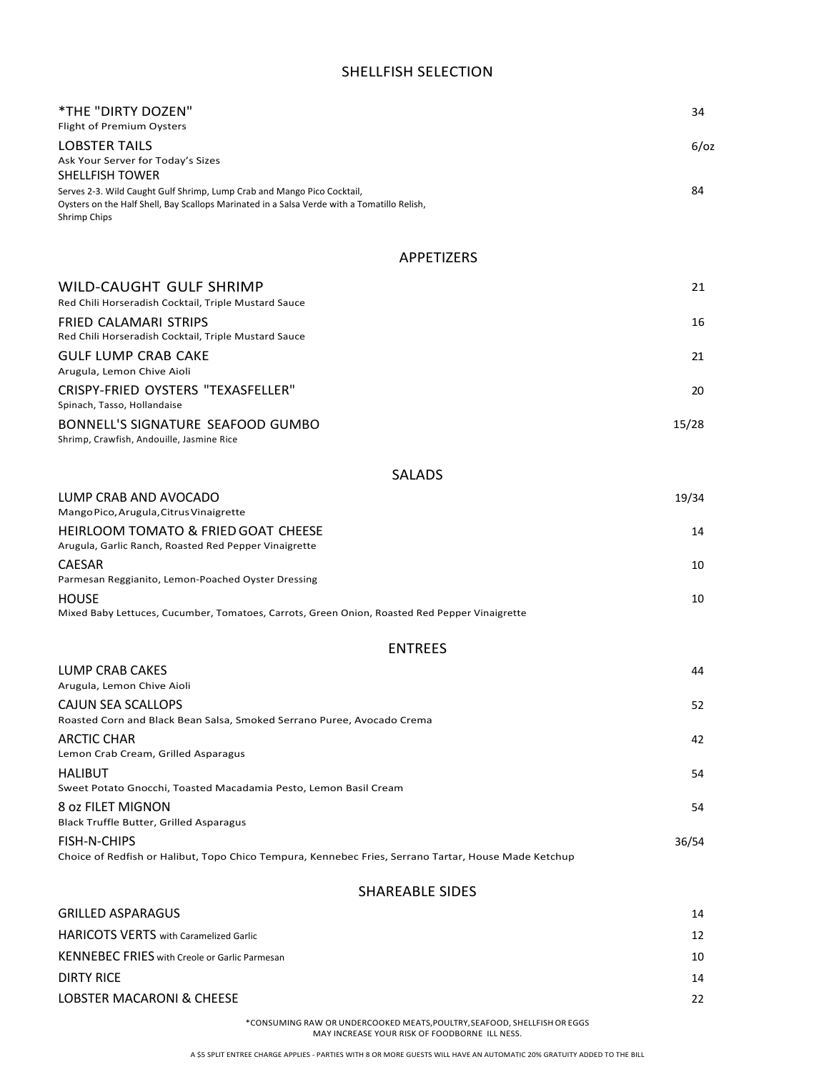## SHELLFISH SELECTION

| *THE "DIRTY DOZEN"                                                                                                                                                     | 34      |
|------------------------------------------------------------------------------------------------------------------------------------------------------------------------|---------|
| Flight of Premium Oysters<br>LOBSTER TAILS                                                                                                                             | $6$ /0z |
| Ask Your Server for Today's Sizes                                                                                                                                      |         |
| <b>SHELLFISH TOWER</b>                                                                                                                                                 |         |
| Serves 2-3. Wild Caught Gulf Shrimp, Lump Crab and Mango Pico Cocktail,<br>Oysters on the Half Shell, Bay Scallops Marinated in a Salsa Verde with a Tomatillo Relish, | 84      |
| Shrimp Chips                                                                                                                                                           |         |
| APPETIZERS                                                                                                                                                             |         |
| WILD-CAUGHT GULF SHRIMP                                                                                                                                                | 21      |
| Red Chili Horseradish Cocktail, Triple Mustard Sauce                                                                                                                   |         |
| FRIED CALAMARI STRIPS<br>Red Chili Horseradish Cocktail, Triple Mustard Sauce                                                                                          | 16      |
| <b>GULF LUMP CRAB CAKE</b>                                                                                                                                             | 21      |
| Arugula, Lemon Chive Aioli                                                                                                                                             |         |
| CRISPY-FRIED OYSTERS "TEXASFELLER"<br>Spinach, Tasso, Hollandaise                                                                                                      | 20      |
| BONNELL'S SIGNATURE SEAFOOD GUMBO<br>Shrimp, Crawfish, Andouille, Jasmine Rice                                                                                         | 15/28   |
| <b>SALADS</b>                                                                                                                                                          |         |
| LUMP CRAB AND AVOCADO                                                                                                                                                  | 19/34   |
| Mango Pico, Arugula, Citrus Vinaigrette                                                                                                                                |         |
| HEIRLOOM TOMATO & FRIED GOAT CHEESE<br>Arugula, Garlic Ranch, Roasted Red Pepper Vinaigrette                                                                           | 14      |
| <b>CAESAR</b>                                                                                                                                                          | 10      |
| Parmesan Reggianito, Lemon-Poached Oyster Dressing<br><b>HOUSE</b>                                                                                                     | 10      |
| Mixed Baby Lettuces, Cucumber, Tomatoes, Carrots, Green Onion, Roasted Red Pepper Vinaigrette                                                                          |         |
| <b>ENTREES</b>                                                                                                                                                         |         |
| LUMP CRAB CAKES                                                                                                                                                        | 44      |
| Arugula, Lemon Chive Aioli<br><b>CAJUN SEA SCALLOPS</b>                                                                                                                |         |
| Roasted Corn and Black Bean Salsa, Smoked Serrano Puree, Avocado Crema                                                                                                 | 52      |
| <b>ARCTIC CHAR</b><br>Lemon Crab Cream, Grilled Asparagus                                                                                                              | 42      |
| <b>HALIBUT</b>                                                                                                                                                         | 54      |
| Sweet Potato Gnocchi, Toasted Macadamia Pesto, Lemon Basil Cream                                                                                                       |         |
| 8 oz FILET MIGNON<br>Black Truffle Butter, Grilled Asparagus                                                                                                           | 54      |
| FISH-N-CHIPS<br>Choice of Redfish or Halibut, Topo Chico Tempura, Kennebec Fries, Serrano Tartar, House Made Ketchup                                                   | 36/54   |
| <b>SHAREABLE SIDES</b>                                                                                                                                                 |         |
| <b>GRILLED ASPARAGUS</b>                                                                                                                                               | 14      |
| <b>HARICOTS VERTS</b> with Caramelized Garlic                                                                                                                          | 12      |

KENNEBEC FRIES with Creole or Garlic Parmesan 10 and 20 and 20 and 20 and 20 and 20 and 20 and 20 and 20 and 20 and 20 and 20 and 20 and 20 and 20 and 20 and 20 and 20 and 20 and 20 and 20 and 20 and 20 and 20 and 20 and 2 **DIRTY RICE** 24 LOBSTER MACARONI & CHEESE 22

\*CONSUMING RAW OR UNDERCOOKED MEATS,POULTRY,SEAFOOD, SHELLFISHOR EGGS MAY INCREASE YOUR RISK OF FOODBORNE ILL NESS.